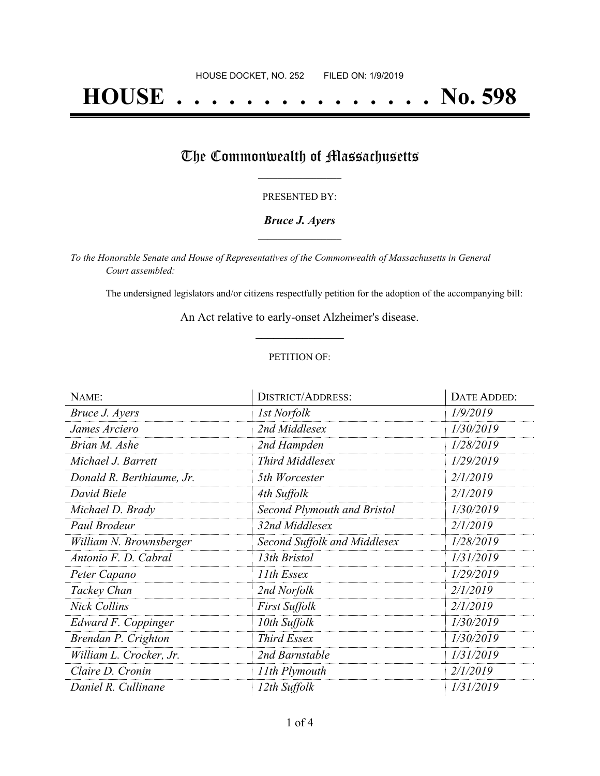# **HOUSE . . . . . . . . . . . . . . . No. 598**

## The Commonwealth of Massachusetts

#### PRESENTED BY:

#### *Bruce J. Ayers* **\_\_\_\_\_\_\_\_\_\_\_\_\_\_\_\_\_**

*To the Honorable Senate and House of Representatives of the Commonwealth of Massachusetts in General Court assembled:*

The undersigned legislators and/or citizens respectfully petition for the adoption of the accompanying bill:

An Act relative to early-onset Alzheimer's disease. **\_\_\_\_\_\_\_\_\_\_\_\_\_\_\_**

#### PETITION OF:

| NAME:                     | <b>DISTRICT/ADDRESS:</b>           | DATE ADDED: |
|---------------------------|------------------------------------|-------------|
| Bruce J. Ayers            | 1st Norfolk                        | 1/9/2019    |
| James Arciero             | 2nd Middlesex                      | 1/30/2019   |
| Brian M. Ashe             | 2nd Hampden                        | 1/28/2019   |
| Michael J. Barrett        | <b>Third Middlesex</b>             | 1/29/2019   |
| Donald R. Berthiaume, Jr. | 5th Worcester                      | 2/1/2019    |
| David Biele               | 4th Suffolk                        | 2/1/2019    |
| Michael D. Brady          | <b>Second Plymouth and Bristol</b> | 1/30/2019   |
| Paul Brodeur              | 32nd Middlesex                     | 2/1/2019    |
| William N. Brownsberger   | Second Suffolk and Middlesex       | 1/28/2019   |
| Antonio F. D. Cabral      | 13th Bristol                       | 1/31/2019   |
| Peter Capano              | 11th Essex                         | 1/29/2019   |
| Tackey Chan               | 2nd Norfolk                        | 2/1/2019    |
| <b>Nick Collins</b>       | <b>First Suffolk</b>               | 2/1/2019    |
| Edward F. Coppinger       | 10th Suffolk                       | 1/30/2019   |
| Brendan P. Crighton       | <b>Third Essex</b>                 | 1/30/2019   |
| William L. Crocker, Jr.   | 2nd Barnstable                     | 1/31/2019   |
| Claire D. Cronin          | 11th Plymouth                      | 2/1/2019    |
| Daniel R. Cullinane       | 12th Suffolk                       | 1/31/2019   |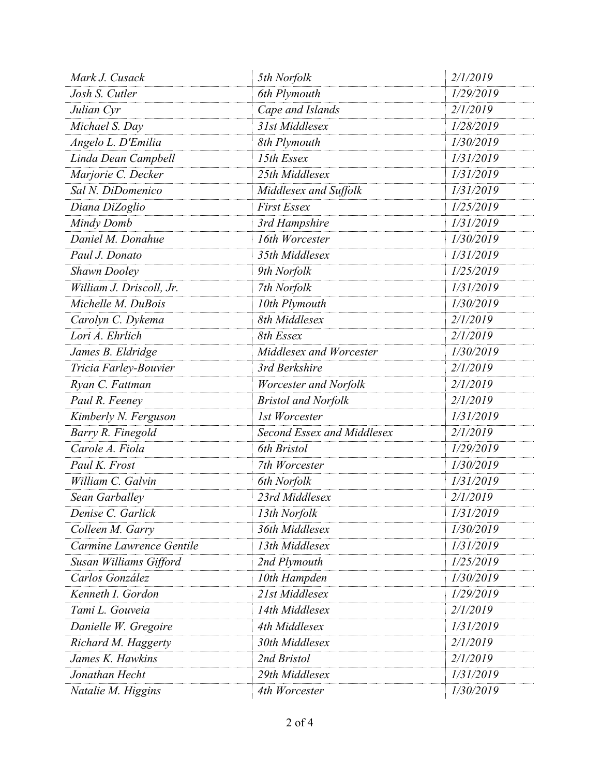| Mark J. Cusack           | 5th Norfolk                | 2/1/2019  |
|--------------------------|----------------------------|-----------|
| Josh S. Cutler           | 6th Plymouth               | 1/29/2019 |
| Julian Cyr               | Cape and Islands           | 2/1/2019  |
| Michael S. Day           | 31st Middlesex             | 1/28/2019 |
| Angelo L. D'Emilia       | 8th Plymouth               | 1/30/2019 |
| Linda Dean Campbell      | 15th Essex                 | 1/31/2019 |
| Marjorie C. Decker       | 25th Middlesex             | 1/31/2019 |
| Sal N. DiDomenico        | Middlesex and Suffolk      | 1/31/2019 |
| Diana DiZoglio           | <b>First Essex</b>         | 1/25/2019 |
| Mindy Domb               | 3rd Hampshire              | 1/31/2019 |
| Daniel M. Donahue        | 16th Worcester             | 1/30/2019 |
| Paul J. Donato           | 35th Middlesex             | 1/31/2019 |
| <b>Shawn Dooley</b>      | 9th Norfolk                | 1/25/2019 |
| William J. Driscoll, Jr. | 7th Norfolk                | 1/31/2019 |
| Michelle M. DuBois       | 10th Plymouth              | 1/30/2019 |
| Carolyn C. Dykema        | 8th Middlesex              | 2/1/2019  |
| Lori A. Ehrlich          | 8th Essex                  | 2/1/2019  |
| James B. Eldridge        | Middlesex and Worcester    | 1/30/2019 |
| Tricia Farley-Bouvier    | 3rd Berkshire              | 2/1/2019  |
| Ryan C. Fattman          | Worcester and Norfolk      | 2/1/2019  |
| Paul R. Feeney           | <b>Bristol and Norfolk</b> | 2/1/2019  |
| Kimberly N. Ferguson     | 1st Worcester              | 1/31/2019 |
| Barry R. Finegold        | Second Essex and Middlesex | 2/1/2019  |
| Carole A. Fiola          | 6th Bristol                | 1/29/2019 |
| Paul K. Frost            | 7th Worcester              | 1/30/2019 |
| William C. Galvin        | 6th Norfolk                | 1/31/2019 |
| Sean Garballey           | 23rd Middlesex             | 2/1/2019  |
| Denise C. Garlick        | 13th Norfolk               | 1/31/2019 |
| Colleen M. Garry         | 36th Middlesex             | 1/30/2019 |
| Carmine Lawrence Gentile | 13th Middlesex             | 1/31/2019 |
| Susan Williams Gifford   | 2nd Plymouth               | 1/25/2019 |
| Carlos González          | 10th Hampden               | 1/30/2019 |
| Kenneth I. Gordon        | 21st Middlesex             | 1/29/2019 |
| Tami L. Gouveia          | 14th Middlesex             | 2/1/2019  |
| Danielle W. Gregoire     | 4th Middlesex              | 1/31/2019 |
| Richard M. Haggerty      | 30th Middlesex             | 2/1/2019  |
| James K. Hawkins         | 2nd Bristol                | 2/1/2019  |
| Jonathan Hecht           | 29th Middlesex             | 1/31/2019 |
| Natalie M. Higgins       | 4th Worcester              | 1/30/2019 |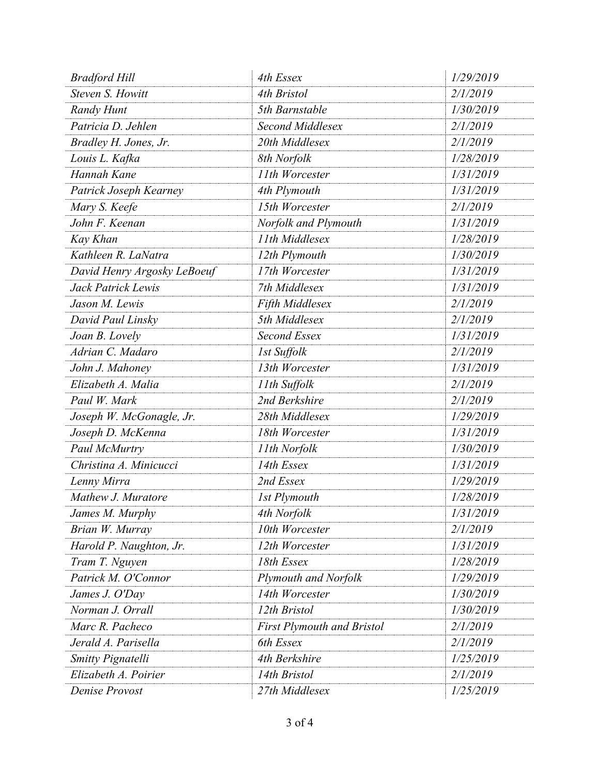| <b>Bradford Hill</b>        | 4th Essex                         | 1/29/2019 |
|-----------------------------|-----------------------------------|-----------|
| Steven S. Howitt            | 4th Bristol                       | 2/1/2019  |
| Randy Hunt                  | 5th Barnstable                    | 1/30/2019 |
| Patricia D. Jehlen          | Second Middlesex                  | 2/1/2019  |
| Bradley H. Jones, Jr.       | 20th Middlesex                    | 2/1/2019  |
| Louis L. Kafka              | 8th Norfolk                       | 1/28/2019 |
| Hannah Kane                 | 11th Worcester                    | 1/31/2019 |
| Patrick Joseph Kearney      | 4th Plymouth                      | 1/31/2019 |
| Mary S. Keefe               | 15th Worcester                    | 2/1/2019  |
| John F. Keenan              | Norfolk and Plymouth              | 1/31/2019 |
| Kay Khan                    | 11th Middlesex                    | 1/28/2019 |
| Kathleen R. LaNatra         | 12th Plymouth                     | 1/30/2019 |
| David Henry Argosky LeBoeuf | 17th Worcester                    | 1/31/2019 |
| Jack Patrick Lewis          | 7th Middlesex                     | 1/31/2019 |
| Jason M. Lewis              | Fifth Middlesex                   | 2/1/2019  |
| David Paul Linsky           | 5th Middlesex                     | 2/1/2019  |
| Joan B. Lovely              | Second Essex                      | 1/31/2019 |
| Adrian C. Madaro            | 1st Suffolk                       | 2/1/2019  |
| John J. Mahoney             | 13th Worcester                    | 1/31/2019 |
| Elizabeth A. Malia          | 11th Suffolk                      | 2/1/2019  |
| Paul W. Mark                | 2nd Berkshire                     | 2/1/2019  |
| Joseph W. McGonagle, Jr.    | 28th Middlesex                    | 1/29/2019 |
| Joseph D. McKenna           | 18th Worcester                    | 1/31/2019 |
| Paul McMurtry               | 11th Norfolk                      | 1/30/2019 |
| Christina A. Minicucci      | 14th Essex                        | 1/31/2019 |
| Lenny Mirra                 | 2nd Essex                         | 1/29/2019 |
| Mathew J. Muratore          | <b>1st Plymouth</b>               | 1/28/2019 |
| James M. Murphy             | 4th Norfolk                       | 1/31/2019 |
| Brian W. Murray             | 10th Worcester                    | 2/1/2019  |
| Harold P. Naughton, Jr.     | 12th Worcester                    | 1/31/2019 |
| Tram T. Nguyen              | 18th Essex                        | 1/28/2019 |
| Patrick M. O'Connor         | <b>Plymouth and Norfolk</b>       | 1/29/2019 |
| James J. O'Day              | 14th Worcester                    | 1/30/2019 |
| Norman J. Orrall            | 12th Bristol                      | 1/30/2019 |
| Marc R. Pacheco             | <b>First Plymouth and Bristol</b> | 2/1/2019  |
| Jerald A. Parisella         | 6th Essex                         | 2/1/2019  |
| <b>Smitty Pignatelli</b>    | 4th Berkshire                     | 1/25/2019 |
| Elizabeth A. Poirier        | 14th Bristol                      | 2/1/2019  |
| Denise Provost              | 27th Middlesex                    | 1/25/2019 |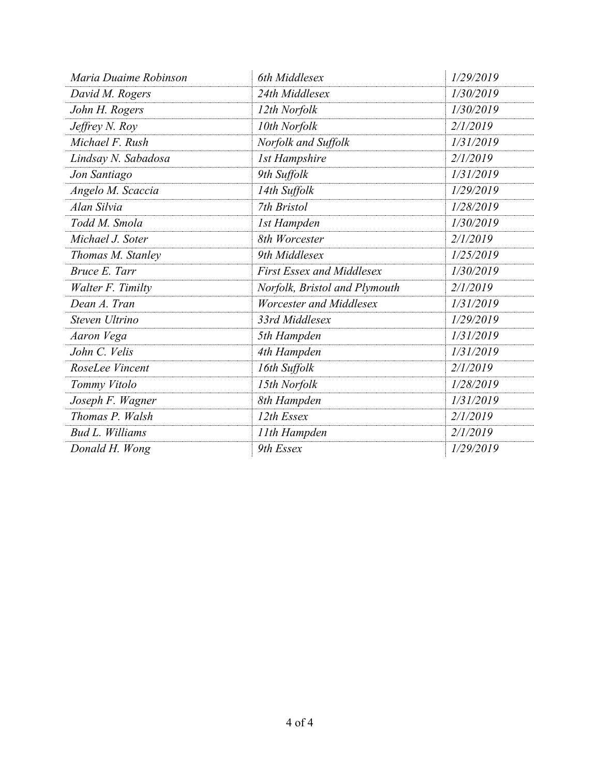| Maria Duaime Robinson    | 6th Middlesex                    | 1/29/2019 |
|--------------------------|----------------------------------|-----------|
| David M. Rogers          | 24th Middlesex                   | 1/30/2019 |
| John H. Rogers           | 12th Norfolk                     | 1/30/2019 |
| Jeffrey N. Roy           | 10th Norfolk                     | 2/1/2019  |
| Michael F. Rush          | Norfolk and Suffolk              | 1/31/2019 |
| Lindsay N. Sabadosa      | <b>1st Hampshire</b>             | 2/1/2019  |
| Jon Santiago             | 9th Suffolk                      | 1/31/2019 |
| Angelo M. Scaccia        | 14th Suffolk                     | 1/29/2019 |
| Alan Silvia              | 7th Bristol                      | 1/28/2019 |
| Todd M. Smola            | 1st Hampden                      | 1/30/2019 |
| Michael J. Soter         | 8th Worcester                    | 2/1/2019  |
| Thomas M. Stanley        | 9th Middlesex                    | 1/25/2019 |
| Bruce E. Tarr            | <b>First Essex and Middlesex</b> | 1/30/2019 |
| <b>Walter F. Timilty</b> | Norfolk, Bristol and Plymouth    | 2/1/2019  |
| Dean A. Tran             | Worcester and Middlesex          | 1/31/2019 |
| Steven Ultrino           | 33rd Middlesex                   | 1/29/2019 |
| Aaron Vega               | 5th Hampden                      | 1/31/2019 |
| John C. Velis            | 4th Hampden                      | 1/31/2019 |
| RoseLee Vincent          | 16th Suffolk                     | 2/1/2019  |
| Tommy Vitolo             | 15th Norfolk                     | 1/28/2019 |
| Joseph F. Wagner         | 8th Hampden                      | 1/31/2019 |
| Thomas P. Walsh          | 12th Essex                       | 2/1/2019  |
| <b>Bud L. Williams</b>   | 11th Hampden                     | 2/1/2019  |
| Donald H. Wong           | 9th Essex                        | 1/29/2019 |